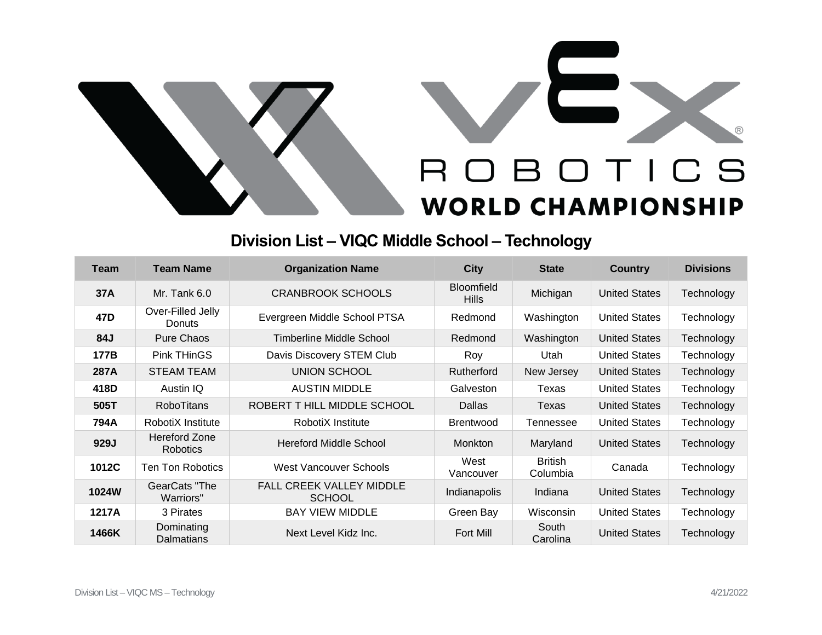



## **Division List – VIQC Middle School – Technology**

| Team            | <b>Team Name</b>                        | <b>Organization Name</b>                         | <b>City</b>                       | <b>State</b>               | <b>Country</b>       | <b>Divisions</b> |
|-----------------|-----------------------------------------|--------------------------------------------------|-----------------------------------|----------------------------|----------------------|------------------|
| 37A             | Mr. Tank $6.0$                          | <b>CRANBROOK SCHOOLS</b>                         | <b>Bloomfield</b><br><b>Hills</b> | Michigan                   | <b>United States</b> | Technology       |
| 47 <sub>D</sub> | Over-Filled Jelly<br>Donuts             | Evergreen Middle School PTSA                     | Redmond                           | Washington                 | <b>United States</b> | Technology       |
| 84J             | <b>Pure Chaos</b>                       | Timberline Middle School                         | Redmond                           | Washington                 | <b>United States</b> | Technology       |
| 177B            | <b>Pink THinGS</b>                      | Davis Discovery STEM Club                        | Roy                               | Utah                       | <b>United States</b> | Technology       |
| 287A            | STEAM TEAM                              | UNION SCHOOL                                     | Rutherford                        | New Jersey                 | <b>United States</b> | Technology       |
| 418D            | Austin IQ                               | <b>AUSTIN MIDDLE</b>                             | Galveston                         | Texas                      | <b>United States</b> | Technology       |
| 505T            | <b>RoboTitans</b>                       | ROBERT THILL MIDDLE SCHOOL                       | <b>Dallas</b>                     | Texas                      | <b>United States</b> | Technology       |
| 794A            | RobotiX Institute                       | RobotiX Institute                                | <b>Brentwood</b>                  | Tennessee                  | <b>United States</b> | Technology       |
| 929J            | <b>Hereford Zone</b><br><b>Robotics</b> | <b>Hereford Middle School</b>                    | <b>Monkton</b>                    | Maryland                   | <b>United States</b> | Technology       |
| 1012C           | Ten Ton Robotics                        | West Vancouver Schools                           | West<br>Vancouver                 | <b>British</b><br>Columbia | Canada               | Technology       |
| 1024W           | GearCats "The<br>Warriors"              | <b>FALL CREEK VALLEY MIDDLE</b><br><b>SCHOOL</b> | Indianapolis                      | Indiana                    | <b>United States</b> | Technology       |
| 1217A           | 3 Pirates                               | <b>BAY VIEW MIDDLE</b>                           | Green Bay                         | Wisconsin                  | <b>United States</b> | Technology       |
| 1466K           | Dominating<br>Dalmatians                | Next Level Kidz Inc.                             | Fort Mill                         | South<br>Carolina          | <b>United States</b> | Technology       |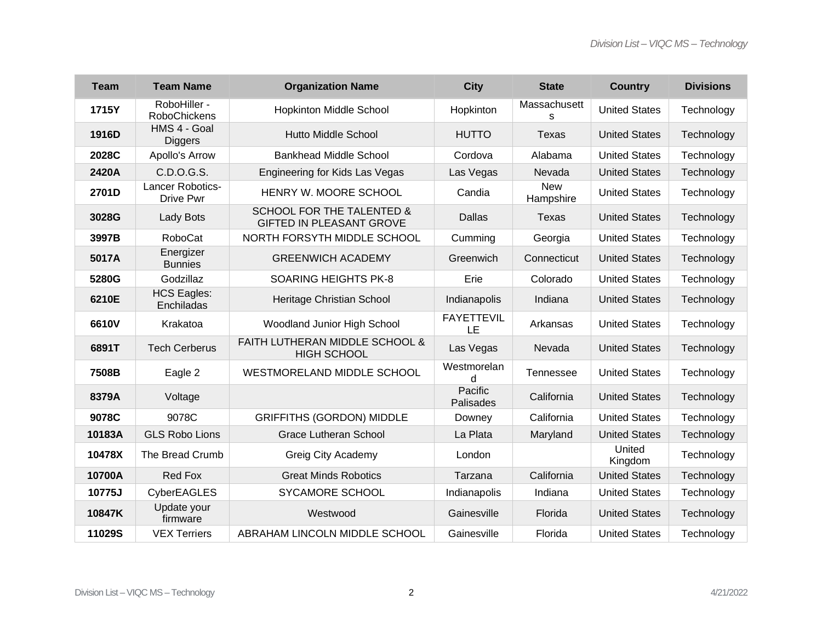| <b>Team</b> | <b>Team Name</b>                    | <b>Organization Name</b>                                                | <b>City</b>             | <b>State</b>            | <b>Country</b>       | <b>Divisions</b> |
|-------------|-------------------------------------|-------------------------------------------------------------------------|-------------------------|-------------------------|----------------------|------------------|
| 1715Y       | RoboHiller -<br><b>RoboChickens</b> | <b>Hopkinton Middle School</b>                                          | Hopkinton               | Massachusett<br>S       | <b>United States</b> | Technology       |
| 1916D       | HMS 4 - Goal<br><b>Diggers</b>      | <b>Hutto Middle School</b>                                              | <b>HUTTO</b>            | <b>Texas</b>            | <b>United States</b> | Technology       |
| 2028C       | Apollo's Arrow                      | <b>Bankhead Middle School</b>                                           | Cordova                 | Alabama                 | <b>United States</b> | Technology       |
| 2420A       | C.D.O.G.S.                          | Engineering for Kids Las Vegas                                          | Las Vegas               | Nevada                  | <b>United States</b> | Technology       |
| 2701D       | Lancer Robotics-<br>Drive Pwr       | HENRY W. MOORE SCHOOL                                                   | Candia                  | <b>New</b><br>Hampshire | <b>United States</b> | Technology       |
| 3028G       | Lady Bots                           | <b>SCHOOL FOR THE TALENTED &amp;</b><br><b>GIFTED IN PLEASANT GROVE</b> | <b>Dallas</b>           | <b>Texas</b>            | <b>United States</b> | Technology       |
| 3997B       | <b>RoboCat</b>                      | NORTH FORSYTH MIDDLE SCHOOL                                             | Cumming                 | Georgia                 | <b>United States</b> | Technology       |
| 5017A       | Energizer<br><b>Bunnies</b>         | <b>GREENWICH ACADEMY</b>                                                | Greenwich               | Connecticut             | <b>United States</b> | Technology       |
| 5280G       | Godzillaz                           | <b>SOARING HEIGHTS PK-8</b>                                             | Erie                    | Colorado                | <b>United States</b> | Technology       |
| 6210E       | <b>HCS Eagles:</b><br>Enchiladas    | Heritage Christian School                                               | Indianapolis            | Indiana                 | <b>United States</b> | Technology       |
| 6610V       | Krakatoa                            | Woodland Junior High School                                             | <b>FAYETTEVIL</b><br>LE | Arkansas                | <b>United States</b> | Technology       |
| 6891T       | <b>Tech Cerberus</b>                | FAITH LUTHERAN MIDDLE SCHOOL &<br><b>HIGH SCHOOL</b>                    | Las Vegas               | Nevada                  | <b>United States</b> | Technology       |
| 7508B       | Eagle 2                             | WESTMORELAND MIDDLE SCHOOL                                              | Westmorelan<br>d        | Tennessee               | <b>United States</b> | Technology       |
| 8379A       | Voltage                             |                                                                         | Pacific<br>Palisades    | California              | <b>United States</b> | Technology       |
| 9078C       | 9078C                               | <b>GRIFFITHS (GORDON) MIDDLE</b>                                        | Downey                  | California              | <b>United States</b> | Technology       |
| 10183A      | <b>GLS Robo Lions</b>               | <b>Grace Lutheran School</b>                                            | La Plata                | Maryland                | <b>United States</b> | Technology       |
| 10478X      | The Bread Crumb                     | <b>Greig City Academy</b>                                               | London                  |                         | United<br>Kingdom    | Technology       |
| 10700A      | Red Fox                             | <b>Great Minds Robotics</b>                                             | Tarzana                 | California              | <b>United States</b> | Technology       |
| 10775J      | CyberEAGLES                         | SYCAMORE SCHOOL                                                         | Indianapolis            | Indiana                 | <b>United States</b> | Technology       |
| 10847K      | Update your<br>firmware             | Westwood                                                                | Gainesville             | Florida                 | <b>United States</b> | Technology       |
| 11029S      | <b>VEX Terriers</b>                 | ABRAHAM LINCOLN MIDDLE SCHOOL                                           | Gainesville             | Florida                 | <b>United States</b> | Technology       |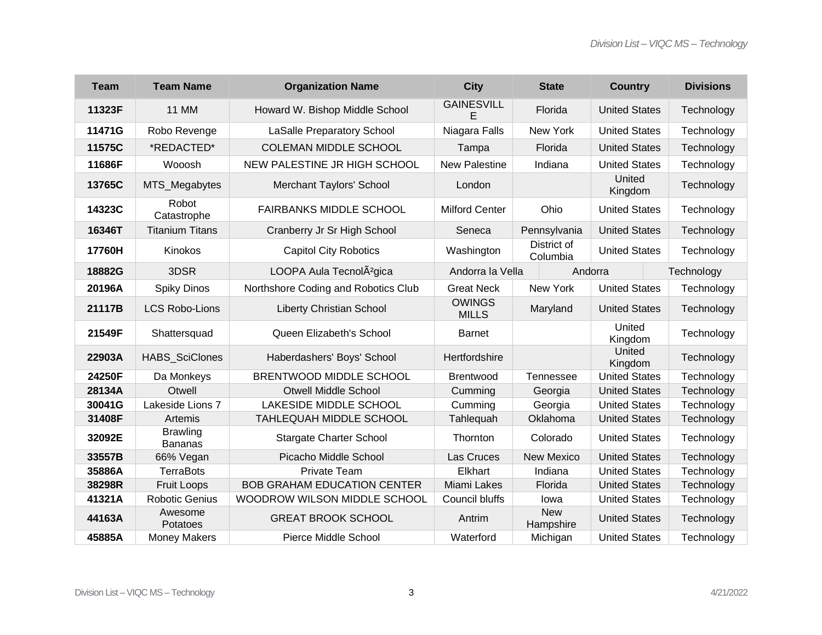| <b>Team</b> | <b>Team Name</b>                  | <b>Organization Name</b>             | <b>City</b>                   | <b>State</b>            | <b>Country</b>       | <b>Divisions</b> |  |
|-------------|-----------------------------------|--------------------------------------|-------------------------------|-------------------------|----------------------|------------------|--|
| 11323F      | <b>11 MM</b>                      | Howard W. Bishop Middle School       | <b>GAINESVILL</b><br>E        | Florida                 | <b>United States</b> | Technology       |  |
| 11471G      | Robo Revenge                      | <b>LaSalle Preparatory School</b>    | Niagara Falls                 | New York                | <b>United States</b> | Technology       |  |
| 11575C      | *REDACTED*                        | <b>COLEMAN MIDDLE SCHOOL</b>         | Tampa                         | Florida                 | <b>United States</b> | Technology       |  |
| 11686F      | Wooosh                            | NEW PALESTINE JR HIGH SCHOOL         | <b>New Palestine</b>          | Indiana                 | <b>United States</b> | Technology       |  |
| 13765C      | MTS_Megabytes                     | <b>Merchant Taylors' School</b>      | London                        |                         | United<br>Kingdom    | Technology       |  |
| 14323C      | Robot<br>Catastrophe              | <b>FAIRBANKS MIDDLE SCHOOL</b>       | <b>Milford Center</b>         | Ohio                    | <b>United States</b> | Technology       |  |
| 16346T      | <b>Titanium Titans</b>            | Cranberry Jr Sr High School          | Seneca                        | Pennsylvania            | <b>United States</b> | Technology       |  |
| 17760H      | Kinokos                           | <b>Capitol City Robotics</b>         | Washington                    | District of<br>Columbia | <b>United States</b> | Technology       |  |
| 18882G      | 3DSR                              | LOOPA Aula TecnolÂ <sup>2</sup> gica | Andorra la Vella              | Andorra                 |                      | Technology       |  |
| 20196A      | <b>Spiky Dinos</b>                | Northshore Coding and Robotics Club  | <b>Great Neck</b>             | New York                | <b>United States</b> | Technology       |  |
| 21117B      | <b>LCS Robo-Lions</b>             | <b>Liberty Christian School</b>      | <b>OWINGS</b><br><b>MILLS</b> | Maryland                | <b>United States</b> | Technology       |  |
| 21549F      | Shattersquad                      | Queen Elizabeth's School             | <b>Barnet</b>                 |                         | United<br>Kingdom    | Technology       |  |
| 22903A      | HABS_SciClones                    | Haberdashers' Boys' School           | Hertfordshire                 |                         | United<br>Kingdom    | Technology       |  |
| 24250F      | Da Monkeys                        | BRENTWOOD MIDDLE SCHOOL              | <b>Brentwood</b>              | <b>Tennessee</b>        | <b>United States</b> | Technology       |  |
| 28134A      | Otwell                            | <b>Otwell Middle School</b>          | Cumming                       | Georgia                 | <b>United States</b> | Technology       |  |
| 30041G      | Lakeside Lions 7                  | LAKESIDE MIDDLE SCHOOL               | Cumming                       | Georgia                 | <b>United States</b> | Technology       |  |
| 31408F      | Artemis                           | TAHLEQUAH MIDDLE SCHOOL              | Tahlequah                     | Oklahoma                | <b>United States</b> | Technology       |  |
| 32092E      | <b>Brawling</b><br><b>Bananas</b> | <b>Stargate Charter School</b>       | Thornton                      | Colorado                | <b>United States</b> | Technology       |  |
| 33557B      | 66% Vegan                         | Picacho Middle School                | Las Cruces                    | <b>New Mexico</b>       | <b>United States</b> | Technology       |  |
| 35886A      | <b>TerraBots</b>                  | Private Team                         | Elkhart                       | Indiana                 | <b>United States</b> | Technology       |  |
| 38298R      | <b>Fruit Loops</b>                | <b>BOB GRAHAM EDUCATION CENTER</b>   | Miami Lakes                   | Florida                 | <b>United States</b> | Technology       |  |
| 41321A      | <b>Robotic Genius</b>             | WOODROW WILSON MIDDLE SCHOOL         | Council bluffs                | lowa                    | <b>United States</b> | Technology       |  |
| 44163A      | Awesome<br>Potatoes               | <b>GREAT BROOK SCHOOL</b>            | Antrim                        | <b>New</b><br>Hampshire | <b>United States</b> | Technology       |  |
| 45885A      | <b>Money Makers</b>               | <b>Pierce Middle School</b>          | Waterford                     | Michigan                | <b>United States</b> | Technology       |  |